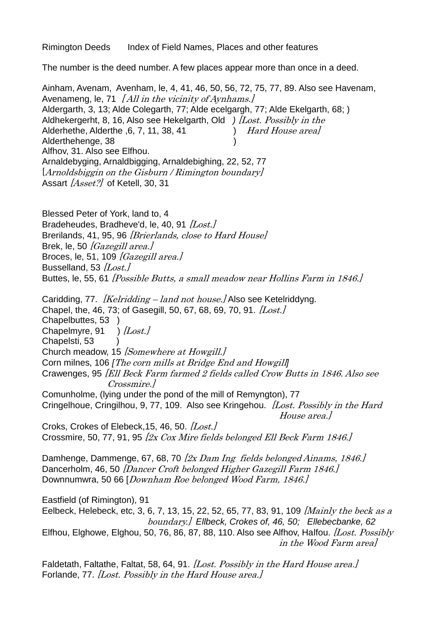Rimington Deeds Index of Field Names, Places and other features

The number is the deed number. A few places appear more than once in a deed.

Ainham, Avenam, Avenham, le, 4, 41, 46, 50, 56, 72, 75, 77, 89. Also see Havenam, Avenameng, le, 71  $[All in the vicinity of Aynhams.]$ Aldergarth, 3, 13; Alde Colegarth, 77; Alde ecelgargh, 77; Alde Ekelgarth, 68; ) Aldhekergerht, 8, 16, Also see Hekelgarth, Old *)* [Lost. Possibly in the Alderhethe, Alderthe 6, 7, 11, 38, 41 *Hard House areal* Alderthehenge, 38 Alfhov, 31. Also see Elfhou. Arnaldebyging, Arnaldbigging, Arnaldebighing, 22, 52, 77 [Arnoldsbiggin on the Gisburn / Rimington boundary] Assart [Asset?] of Ketell, 30, 31

Blessed Peter of York, land to, 4 Bradeheudes, Bradheve'd, le, 40, 91  $|$ Lost,  $|$ Brerilands, 41, 95, 96 *[Brierlands, close to Hard House]* Brek, le, 50  $/Gazegill area.$ Broces, le, 51, 109  $[Gasegil]$  area. Busselland, 53  $|$ Lost. $|$ Buttes, le, 55, 61 [Possible Butts, a small meadow near Hollins Farm in 1846.]

Caridding, 77. *[Kelridding – land not house.]* Also see Ketelriddyng. Chapel, the, 46, 73; of Gasegill, 50, 67, 68, 69, 70, 91.  $[Last.]$ Chapelbuttes, 53 ) Chapelmyre, 91 )  $|$ Lost. Chapelsti, 53 ) Church meadow, 15 *[Somewhere at Howgill.]* Corn milnes, 106 *[*The corn mills at Bridge End and Howgill*]* Crawenges, 95 [Ell Beck Farm farmed 2 fields called Crow Butts in 1846. Also see Crossmire.] Comunholme, (lying under the pond of the mill of Remyngton), 77 Cringelhoue, Cringilhou, 9, 77, 109. Also see Kringehou. *[Lost. Possibly in the Hard* House area.] Croks, Crokes of Elebeck, 15, 46, 50. [Lost.] Crossmire, 50, 77, 91, 95  $[2x \text{ Cox Mire fields belonged Ell Beck Farm 1846}].$ Damhenge, Dammenge, 67, 68, 70 [2x Dam Ing fields belonged Ainams, 1846.] Dancerholm, 46, 50 *[Dancer Croft belonged Higher Gazegill Farm 1846.]* Downnumwra, 50 66 [Downham Roe belonged Wood Farm, 1846.] Eastfield (of Rimington), 91 Eelbeck, Helebeck, etc, 3, 6, 7, 13, 15, 22, 52, 65, 77, 83, 91, 109 [Mainly the beck as a boundary.] *Ellbeck, Crokes of, 46, 50; Ellebecbanke, 62* Elfhou, Elghowe, Elghou, 50, 76, 86, 87, 88, 110. Also see Alfhov, Halfou.  $[Lost. Possibly]$ in the Wood Farm area]

Faldetath, Faltathe, Faltat, 58, 64, 91. [Lost. Possibly in the Hard House area.] Forlande, 77. [Lost. Possibly in the Hard House area.]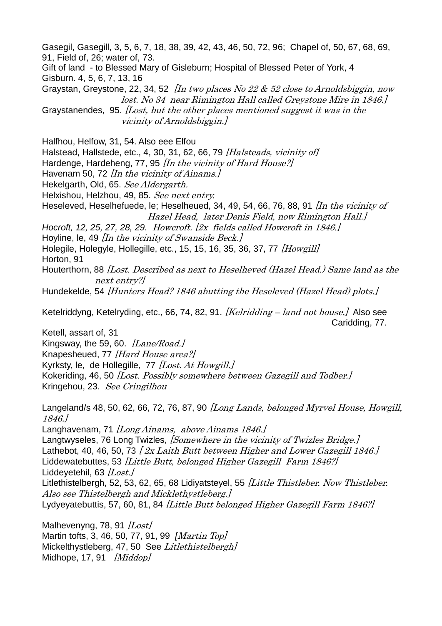Gasegil, Gasegill, 3, 5, 6, 7, 18, 38, 39, 42, 43, 46, 50, 72, 96; Chapel of, 50, 67, 68, 69, 91, Field of, 26; water of, 73.

Gift of land - to Blessed Mary of Gisleburn; Hospital of Blessed Peter of York, 4 Gisburn. 4, 5, 6, 7, 13, 16

Graystan, Greystone, 22, 34, 52  $\int$  *In two places No 22 & 52 close to Arnoldsbiggin, now* lost. No 34 near Rimington Hall called Greystone Mire in 1846.]

Graystanendes, 95. [Lost, but the other places mentioned suggest it was in the vicinity of Arnoldsbiggin.]

Halfhou, Helfow, 31, 54. Also eee Elfou

Halstead, Hallstede, etc., 4, 30, 31, 62, 66, 79 [Halsteads, vicinity of]

Hardenge, Hardeheng, 77, 95 [In the vicinity of Hard House?]

Havenam 50, 72 [In the vicinity of Ainams.]

Hekelgarth, Old, 65. See Aldergarth.

Helxishou, Helzhou, 49, 85. See next entry.

Heseleved, Heselhefuede, le; Heselheued, 34, 49, 54, 66, 76, 88, 91 [In the vicinity of Hazel Head, later Denis Field, now Rimington Hall.]

*Hocroft, 12, 25, 27, 28, 29.* Howcroft. [2x fields called Howcroft in 1846.]

Hoyline, le, 49 *In the vicinity of Swanside Beck.* 

Holegile, Holegyle, Hollegille, etc., 15, 15, 16, 35, 36, 37, 77 [Howgill] Horton, 91

Houterthorn, 88 [Lost. Described as next to Heselheved (Hazel Head.) Same land as the next entry?]

Hundekelde, 54 *[Hunters Head? 1846 abutting the Heseleved (Hazel Head) plots.]* 

Ketelriddyng, Ketelryding, etc., 66, 74, 82, 91. [Kelridding – land not house.]Also see Caridding, 77.

Ketell, assart of, 31 Kingsway, the 59, 60.  $[Lane/Read.]$ Knapesheued, 77 [Hard House area?] Kyrksty, le, de Hollegille, 77 [Lost, At Howgill.] Kokeriding, 46, 50 [Lost. Possibly somewhere between Gazegill and Todber.] Kringehou, 23. See Cringilhou

Langeland/s 48, 50, 62, 66, 72, 76, 87, 90 [Long Lands, belonged Myrvel House, Howgill, 1846.]

Langhavenam, 71  $\langle Long\,Ainams, above\,Ainams\,1846.\rangle$ Langtwyseles, 76 Long Twizles, *[Somewhere in the vicinity of Twizles Bridge.]* Lathebot, 40, 46, 50, 73  $\left[2x \text{ Laith} \text{ But }$  between Higher and Lower Gazegill 1846. Liddewatebuttes, 53 [Little Butt, belonged Higher Gazegill Farm 1846?] Liddevetehil, 63  $|LossL$ Litlethistelbergh, 52, 53, 62, 65, 68 Lidiyatsteyel, 55 [Little Thistleber. Now Thistleber. Also see Thistelbergh and Micklethystleberg.] Lydyeyatebuttis, 57, 60, 81, 84 [Little Butt belonged Higher Gazegill Farm 1846?]

Malhevenyng, 78, 91  $|$ Lost $|$ Martin tofts, 3, 46, 50, 77, 91, 99 *[*Martin Top] Mickelthystleberg, 47, 50 See Litlethistelbergh/ Midhope, 17, 91  $/Middop$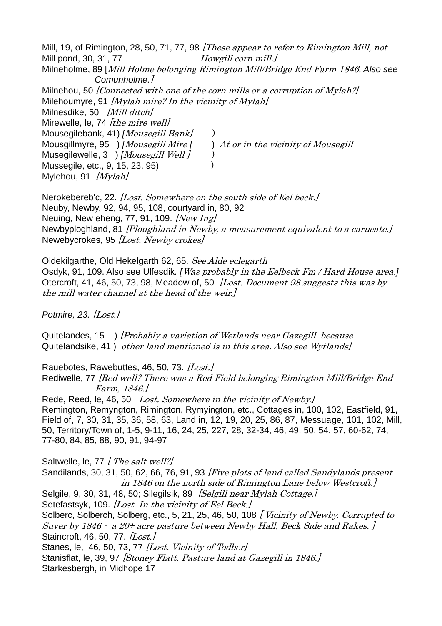Mill, 19, of Rimington, 28, 50, 71, 77, 98 *These appear to refer to Rimington Mill, not* Mill pond, 30, 31, 77 *Howgill corn mill.]* Milneholme, 89 [Mill Holme belonging Rimington Mill/Bridge End Farm 1846. *Also see Comunholme.*] Milnehou, 50 *[Connected with one of the corn mills or a corruption of Mylah?]* Milehoumyre, 91  $[Mylah mire? In the vicinity of Mylah]$ Milnesdike, 50 [Mill ditch] Mirewelle, le, 74 [the mire well] Mousegilebank, 41) *[Mousegill Bank]* ) Mousgillmyre, 95 ) *[*Mousegill Mire *]* ) At or in the vicinity of Mousegill Musegilewelle, 3 ) [Mousegill Well ]  $)$ Mussegile, etc., 9, 15, 23, 95)) Mylehou, 91  $Mvlah$ 

Nerokebereb'c, 22. [Lost. Somewhere on the south side of Eel beck.] Neuby, Newby, 92, 94, 95, 108, courtyard in, 80, 92 Neuing, New eheng, 77, 91, 109. *[New Ing]* Newbyploghland, 81 [Ploughland in Newby, a measurement equivalent to a carucate.] Newebycrokes, 95 [Lost. Newby crokes]

Oldekilgarthe, Old Hekelgarth 62, 65. See Alde eclegarth Osdyk, 91, 109. Also see Ulfesdik. *[*Was probably in the Eelbeck Fm / Hard House area.*]* Otercroft, 41, 46, 50, 73, 98, Meadow of, 50 *[Lost. Document 98 suggests this was by* the mill water channel at the head of the weir.]

*Potmire, 23.* [Lost.]

Quitelandes, 15 ) [Probably a variation of Wetlands near Gazegill because Quitelandsike, 41 ) other land mentioned is in this area. Also see Wytlands]

Rauebotes, Rawebuttes, 46, 50, 73. [Lost.]

Rediwelle, 77 [Red well? There was a Red Field belonging Rimington Mill/Bridge End Farm, 1846.]

Rede, Reed, le, 46, 50 [*Lost. Somewhere in the vicinity of Newby.*] Remington, Remyngton, Rimington, Rymyington, etc., Cottages in, 100, 102, Eastfield, 91, Field of, 7, 30, 31, 35, 36, 58, 63, Land in, 12, 19, 20, 25, 86, 87, Messuage, 101, 102, Mill, 50, Territory/Town of, 1-5, 9-11, 16, 24, 25, 227, 28, 32-34, 46, 49, 50, 54, 57, 60-62, 74, 77-80, 84, 85, 88, 90, 91, 94-97

Saltwelle, le, 77 [ The salt well?]

Sandilands, 30, 31, 50, 62, 66, 76, 91, 93 [Five plots of land called Sandylands present in 1846 on the north side of Rimington Lane below Westcroft.] Selgile, 9, 30, 31, 48, 50; Silegilsik, 89 *[Selgill near Mylah Cottage.]* Setefastsyk, 109. [Lost. In the vicinity of Eel Beck.] Solberc, Solberch, Solberg, etc., 5, 21, 25, 46, 50, 108 [Vicinity of Newby. Corrupted to Suver by 1846 - a 20+ acre pasture between Newby Hall, Beck Side and Rakes. ] Staincroft, 46, 50, 77. *[Lost.]* Stanes, le, 46, 50, 73, 77 [Lost. Vicinity of Todber] Stanisflat, le, 39, 97 [Stoney Flatt. Pasture land at Gazegill in 1846.] Starkesbergh, in Midhope 17